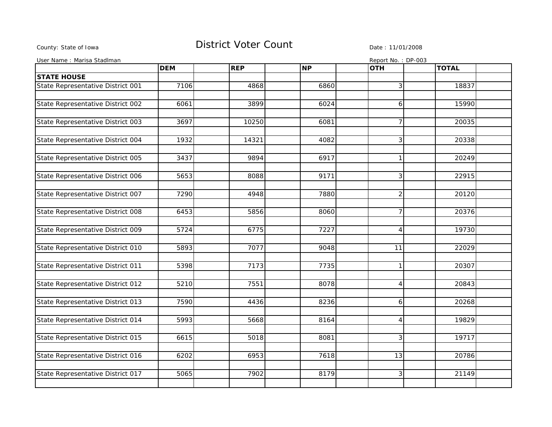## County: State of Iowa **District Voter Count** Description Date : 11/01/2008

| User Name : Marisa Stadlman       |            |            |           | Report No.: DP-003 |              |
|-----------------------------------|------------|------------|-----------|--------------------|--------------|
|                                   | <b>DEM</b> | <b>REP</b> | <b>NP</b> | <b>OTH</b>         | <b>TOTAL</b> |
| <b>STATE HOUSE</b>                |            |            |           |                    |              |
| State Representative District 001 | 7106       | 4868       | 6860      | 3                  | 18837        |
|                                   |            |            |           |                    |              |
| State Representative District 002 | 6061       | 3899       | 6024      | 6                  | 15990        |
|                                   |            |            |           |                    |              |
| State Representative District 003 | 3697       | 10250      | 6081      | $\overline{7}$     | 20035        |
|                                   |            |            |           |                    |              |
| State Representative District 004 | 1932       | 14321      | 4082      | $\overline{3}$     | 20338        |
|                                   |            |            |           |                    |              |
| State Representative District 005 | 3437       | 9894       | 6917      | $\mathbf{1}$       | 20249        |
|                                   |            |            |           |                    |              |
| State Representative District 006 | 5653       | 8088       | 9171      | 3                  | 22915        |
|                                   |            |            |           |                    |              |
| State Representative District 007 | 7290       | 4948       | 7880      | $\overline{2}$     | 20120        |
|                                   |            |            |           |                    |              |
| State Representative District 008 | 6453       | 5856       | 8060      | $\overline{7}$     | 20376        |
|                                   |            |            |           |                    |              |
| State Representative District 009 | 5724       | 6775       | 7227      | $\overline{4}$     | 19730        |
|                                   |            |            |           |                    |              |
| State Representative District 010 | 5893       | 7077       | 9048      | 11                 | 22029        |
|                                   |            |            |           |                    |              |
| State Representative District 011 | 5398       | 7173       | 7735      | 1                  | 20307        |
|                                   |            |            |           |                    |              |
| State Representative District 012 | 5210       | 7551       | 8078      | 4                  | 20843        |
|                                   |            |            |           |                    |              |
| State Representative District 013 | 7590       | 4436       | 8236      | 6                  | 20268        |
|                                   |            |            |           |                    |              |
| State Representative District 014 | 5993       | 5668       | 8164      | $\overline{4}$     | 19829        |
|                                   |            |            |           |                    |              |
| State Representative District 015 | 6615       | 5018       | 8081      | 3                  | 19717        |
|                                   |            |            |           |                    |              |
| State Representative District 016 | 6202       | 6953       | 7618      | 13                 | 20786        |
|                                   |            |            |           |                    |              |
| State Representative District 017 | 5065       | 7902       | 8179      | 3                  | 21149        |
|                                   |            |            |           |                    |              |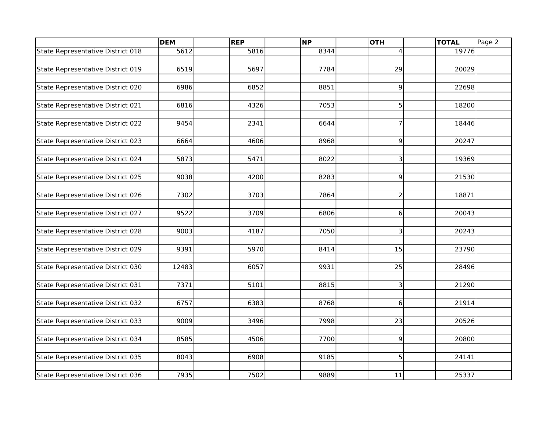|                                   | <b>DEM</b> | <b>REP</b> | <b>NP</b> | <b>OTH</b>     | <b>TOTAL</b> | Page 2 |
|-----------------------------------|------------|------------|-----------|----------------|--------------|--------|
| State Representative District 018 | 5612       | 5816       | 8344      |                | 19776        |        |
|                                   |            |            |           |                |              |        |
| State Representative District 019 | 6519       | 5697       | 7784      | 29             | 20029        |        |
|                                   |            |            |           |                |              |        |
| State Representative District 020 | 6986       | 6852       | 8851      | 9              | 22698        |        |
|                                   |            |            |           |                |              |        |
| State Representative District 021 | 6816       | 4326       | 7053      | 5              | 18200        |        |
|                                   |            |            |           |                |              |        |
| State Representative District 022 | 9454       | 2341       | 6644      | $\overline{7}$ | 18446        |        |
|                                   |            |            |           |                |              |        |
| State Representative District 023 | 6664       | 4606       | 8968      | 9              | 20247        |        |
|                                   |            |            |           |                |              |        |
| State Representative District 024 | 5873       | 5471       | 8022      | 3              | 19369        |        |
|                                   |            |            |           |                |              |        |
| State Representative District 025 | 9038       | 4200       | 8283      | 9              | 21530        |        |
|                                   |            |            |           |                |              |        |
| State Representative District 026 | 7302       | 3703       | 7864      | $\overline{2}$ | 18871        |        |
|                                   |            |            |           |                |              |        |
| State Representative District 027 | 9522       | 3709       | 6806      | 6              | 20043        |        |
|                                   |            |            |           |                |              |        |
| State Representative District 028 | 9003       | 4187       | 7050      | 3              | 20243        |        |
|                                   |            |            |           |                |              |        |
| State Representative District 029 | 9391       | 5970       | 8414      | 15             | 23790        |        |
|                                   |            |            |           |                |              |        |
| State Representative District 030 | 12483      | 6057       | 9931      | 25             | 28496        |        |
|                                   |            |            |           |                |              |        |
| State Representative District 031 | 7371       | 5101       | 8815      | $\mathfrak{Z}$ | 21290        |        |
|                                   |            |            |           |                |              |        |
| State Representative District 032 | 6757       | 6383       | 8768      | 6              | 21914        |        |
|                                   |            |            |           |                |              |        |
| State Representative District 033 | 9009       | 3496       | 7998      | 23             | 20526        |        |
|                                   |            |            |           |                |              |        |
| State Representative District 034 | 8585       | 4506       | 7700      | 9              | 20800        |        |
|                                   |            |            |           |                |              |        |
| State Representative District 035 | 8043       | 6908       | 9185      | 5              | 24141        |        |
|                                   |            |            |           |                |              |        |
| State Representative District 036 | 7935       | 7502       | 9889      | 11             | 25337        |        |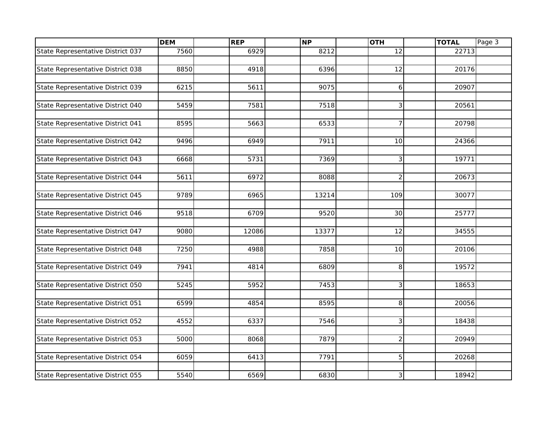|                                   | <b>DEM</b> | <b>REP</b> | <b>NP</b> | <b>OTH</b>     | <b>TOTAL</b> | Page 3 |
|-----------------------------------|------------|------------|-----------|----------------|--------------|--------|
| State Representative District 037 | 7560       | 6929       | 8212      | 12             | 22713        |        |
|                                   |            |            |           |                |              |        |
| State Representative District 038 | 8850       | 4918       | 6396      | 12             | 20176        |        |
|                                   |            |            |           |                |              |        |
| State Representative District 039 | 6215       | 5611       | 9075      | 6              | 20907        |        |
|                                   |            |            |           |                |              |        |
| State Representative District 040 | 5459       | 7581       | 7518      | 3              | 20561        |        |
|                                   |            |            |           |                |              |        |
| State Representative District 041 | 8595       | 5663       | 6533      | $\overline{7}$ | 20798        |        |
|                                   |            |            |           |                |              |        |
| State Representative District 042 | 9496       | 6949       | 7911      | 10             | 24366        |        |
|                                   |            |            |           |                |              |        |
| State Representative District 043 | 6668       | 5731       | 7369      | 3              | 19771        |        |
|                                   |            |            |           |                |              |        |
| State Representative District 044 | 5611       | 6972       | 8088      | $\overline{2}$ | 20673        |        |
|                                   |            |            |           |                |              |        |
| State Representative District 045 | 9789       | 6965       | 13214     | 109            | 30077        |        |
|                                   |            |            |           |                |              |        |
| State Representative District 046 | 9518       | 6709       | 9520      | 30             | 25777        |        |
|                                   |            |            |           |                |              |        |
| State Representative District 047 | 9080       | 12086      | 13377     | 12             | 34555        |        |
|                                   |            |            |           |                |              |        |
| State Representative District 048 | 7250       | 4988       | 7858      | 10             | 20106        |        |
| State Representative District 049 | 7941       | 4814       | 6809      | 8              | 19572        |        |
|                                   |            |            |           |                |              |        |
| State Representative District 050 | 5245       | 5952       | 7453      | $\mathfrak{Z}$ | 18653        |        |
|                                   |            |            |           |                |              |        |
| State Representative District 051 | 6599       | 4854       | 8595      | 8              | 20056        |        |
|                                   |            |            |           |                |              |        |
| State Representative District 052 | 4552       | 6337       | 7546      | 3              | 18438        |        |
|                                   |            |            |           |                |              |        |
| State Representative District 053 | 5000       | 8068       | 7879      | $\overline{2}$ | 20949        |        |
|                                   |            |            |           |                |              |        |
| State Representative District 054 | 6059       | 6413       | 7791      | 5              | 20268        |        |
|                                   |            |            |           |                |              |        |
| State Representative District 055 | 5540       | 6569       | 6830      | 3 <sup>1</sup> | 18942        |        |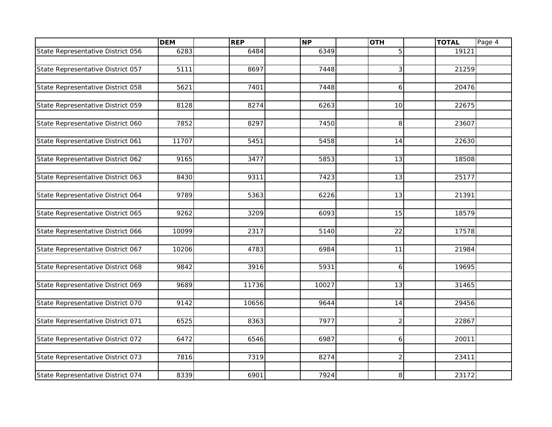|                                   | <b>DEM</b> | <b>REP</b> | <b>NP</b> | <b>OTH</b>     | <b>TOTAL</b> | Page 4 |
|-----------------------------------|------------|------------|-----------|----------------|--------------|--------|
| State Representative District 056 | 6283       | 6484       | 6349      | 5              | 19121        |        |
|                                   |            |            |           |                |              |        |
| State Representative District 057 | 5111       | 8697       | 7448      | 3              | 21259        |        |
|                                   |            |            |           |                |              |        |
| State Representative District 058 | 5621       | 7401       | 7448      | 6              | 20476        |        |
|                                   |            |            |           |                |              |        |
| State Representative District 059 | 8128       | 8274       | 6263      | 10             | 22675        |        |
|                                   |            |            |           |                |              |        |
| State Representative District 060 | 7852       | 8297       | 7450      | 8              | 23607        |        |
|                                   |            |            |           |                |              |        |
| State Representative District 061 | 11707      | 5451       | 5458      | 14             | 22630        |        |
|                                   |            |            |           |                |              |        |
| State Representative District 062 | 9165       | 3477       | 5853      | 13             | 18508        |        |
|                                   |            |            |           |                |              |        |
| State Representative District 063 | 8430       | 9311       | 7423      | 13             | 25177        |        |
|                                   |            |            |           |                |              |        |
| State Representative District 064 | 9789       | 5363       | 6226      | 13             | 21391        |        |
| State Representative District 065 | 9262       | 3209       | 6093      | 15             | 18579        |        |
|                                   |            |            |           |                |              |        |
| State Representative District 066 | 10099      | 2317       | 5140      | 22             | 17578        |        |
|                                   |            |            |           |                |              |        |
| State Representative District 067 | 10206      | 4783       | 6984      | 11             | 21984        |        |
|                                   |            |            |           |                |              |        |
| State Representative District 068 | 9842       | 3916       | 5931      | 6              | 19695        |        |
|                                   |            |            |           |                |              |        |
| State Representative District 069 | 9689       | 11736      | 10027     | 13             | 31465        |        |
|                                   |            |            |           |                |              |        |
| State Representative District 070 | 9142       | 10656      | 9644      | 14             | 29456        |        |
|                                   |            |            |           |                |              |        |
| State Representative District 071 | 6525       | 8363       | 7977      | $\overline{2}$ | 22867        |        |
|                                   |            |            |           |                |              |        |
| State Representative District 072 | 6472       | 6546       | 6987      | 6              | 20011        |        |
|                                   |            |            |           |                |              |        |
| State Representative District 073 | 7816       | 7319       | 8274      | $\overline{2}$ | 23411        |        |
|                                   |            |            |           |                |              |        |
| State Representative District 074 | 8339       | 6901       | 7924      | 8              | 23172        |        |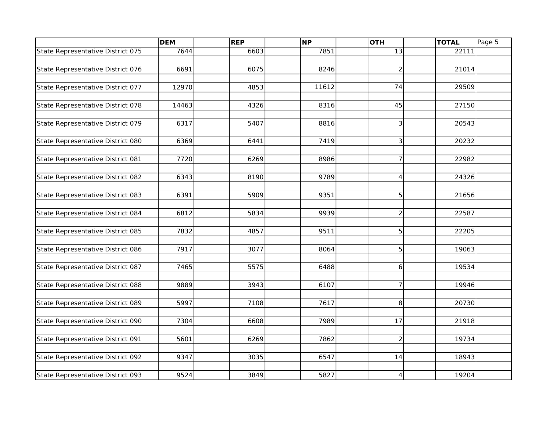|                                   | <b>DEM</b> | <b>REP</b> | <b>NP</b> | <b>OTH</b>     | <b>TOTAL</b> | Page 5 |
|-----------------------------------|------------|------------|-----------|----------------|--------------|--------|
| State Representative District 075 | 7644       | 6603       | 7851      | 13             | 22111        |        |
|                                   |            |            |           |                |              |        |
| State Representative District 076 | 6691       | 6075       | 8246      | $\overline{2}$ | 21014        |        |
|                                   |            |            |           |                |              |        |
| State Representative District 077 | 12970      | 4853       | 11612     | 74             | 29509        |        |
|                                   |            |            |           |                |              |        |
| State Representative District 078 | 14463      | 4326       | 8316      | 45             | 27150        |        |
|                                   |            |            |           |                |              |        |
| State Representative District 079 | 6317       | 5407       | 8816      | 3              | 20543        |        |
|                                   |            |            |           |                |              |        |
| State Representative District 080 | 6369       | 6441       | 7419      | 3              | 20232        |        |
|                                   |            |            |           |                |              |        |
| State Representative District 081 | 7720       | 6269       | 8986      | $\overline{7}$ | 22982        |        |
| State Representative District 082 | 6343       | 8190       | 9789      | $\overline{4}$ | 24326        |        |
|                                   |            |            |           |                |              |        |
| State Representative District 083 | 6391       | 5909       | 9351      | 5              | 21656        |        |
|                                   |            |            |           |                |              |        |
| State Representative District 084 | 6812       | 5834       | 9939      | $\overline{2}$ | 22587        |        |
|                                   |            |            |           |                |              |        |
| State Representative District 085 | 7832       | 4857       | 9511      | 5              | 22205        |        |
|                                   |            |            |           |                |              |        |
| State Representative District 086 | 7917       | 3077       | 8064      | 5              | 19063        |        |
|                                   |            |            |           |                |              |        |
| State Representative District 087 | 7465       | 5575       | 6488      | 6              | 19534        |        |
|                                   |            |            |           |                |              |        |
| State Representative District 088 | 9889       | 3943       | 6107      | $\overline{7}$ | 19946        |        |
|                                   |            |            |           |                |              |        |
| State Representative District 089 | 5997       | 7108       | 7617      | 8              | 20730        |        |
| State Representative District 090 | 7304       | 6608       | 7989      | 17             | 21918        |        |
|                                   |            |            |           |                |              |        |
| State Representative District 091 | 5601       | 6269       | 7862      | $\overline{2}$ | 19734        |        |
|                                   |            |            |           |                |              |        |
| State Representative District 092 | 9347       | 3035       | 6547      | 14             | 18943        |        |
|                                   |            |            |           |                |              |        |
| State Representative District 093 | 9524       | 3849       | 5827      | 4              | 19204        |        |